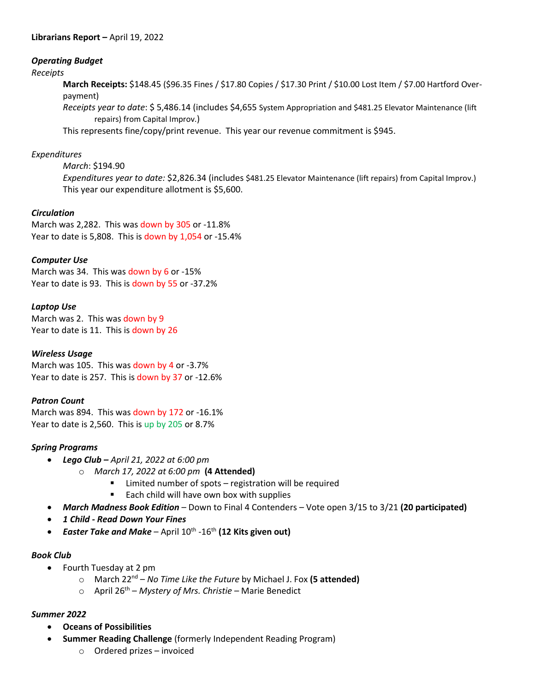# *Operating Budget*

#### *Receipts*

**March Receipts:** \$148.45 (\$96.35 Fines / \$17.80 Copies / \$17.30 Print / \$10.00 Lost Item / \$7.00 Hartford Overpayment)

*Receipts year to date*: \$ 5,486.14 (includes \$4,655 System Appropriation and \$481.25 Elevator Maintenance (lift repairs) from Capital Improv.)

This represents fine/copy/print revenue. This year our revenue commitment is \$945.

# *Expenditures*

*March*: \$194.90

*Expenditures year to date:* \$2,826.34 (includes \$481.25 Elevator Maintenance (lift repairs) from Capital Improv.) This year our expenditure allotment is \$5,600.

### *Circulation*

March was 2,282. This was down by 305 or -11.8% Year to date is 5,808. This is down by 1,054 or -15.4%

# *Computer Use*

March was 34. This was down by 6 or -15% Year to date is 93. This is down by 55 or -37.2%

# *Laptop Use*

March was 2. This was down by 9 Year to date is 11. This is down by 26

### *Wireless Usage*

March was 105. This was down by 4 or -3.7% Year to date is 257. This is down by 37 or -12.6%

### *Patron Count*

March was 894. This was down by 172 or -16.1% Year to date is 2,560. This is up by 205 or 8.7%

### *Spring Programs*

- *Lego Club – April 21, 2022 at 6:00 pm*
	- o *March 17, 2022 at 6:00 pm* **(4 Attended)**
		- **EXEC** Limited number of spots registration will be required
		- Each child will have own box with supplies
- *March Madness Book Edition* Down to Final 4 Contenders Vote open 3/15 to 3/21 **(20 participated)**
- *1 Child - Read Down Your Fines*
- **•** Easter Take and Make April 10<sup>th</sup> -16<sup>th</sup> (12 Kits given out)

### *Book Club*

- Fourth Tuesday at 2 pm
	- o March 22nd *No Time Like the Future* by Michael J. Fox **(5 attended)**
	- o April 26th *Mystery of Mrs. Christie –* Marie Benedict

### *Summer 2022*

- **Oceans of Possibilities**
- **Summer Reading Challenge** (formerly Independent Reading Program)
	- o Ordered prizes invoiced